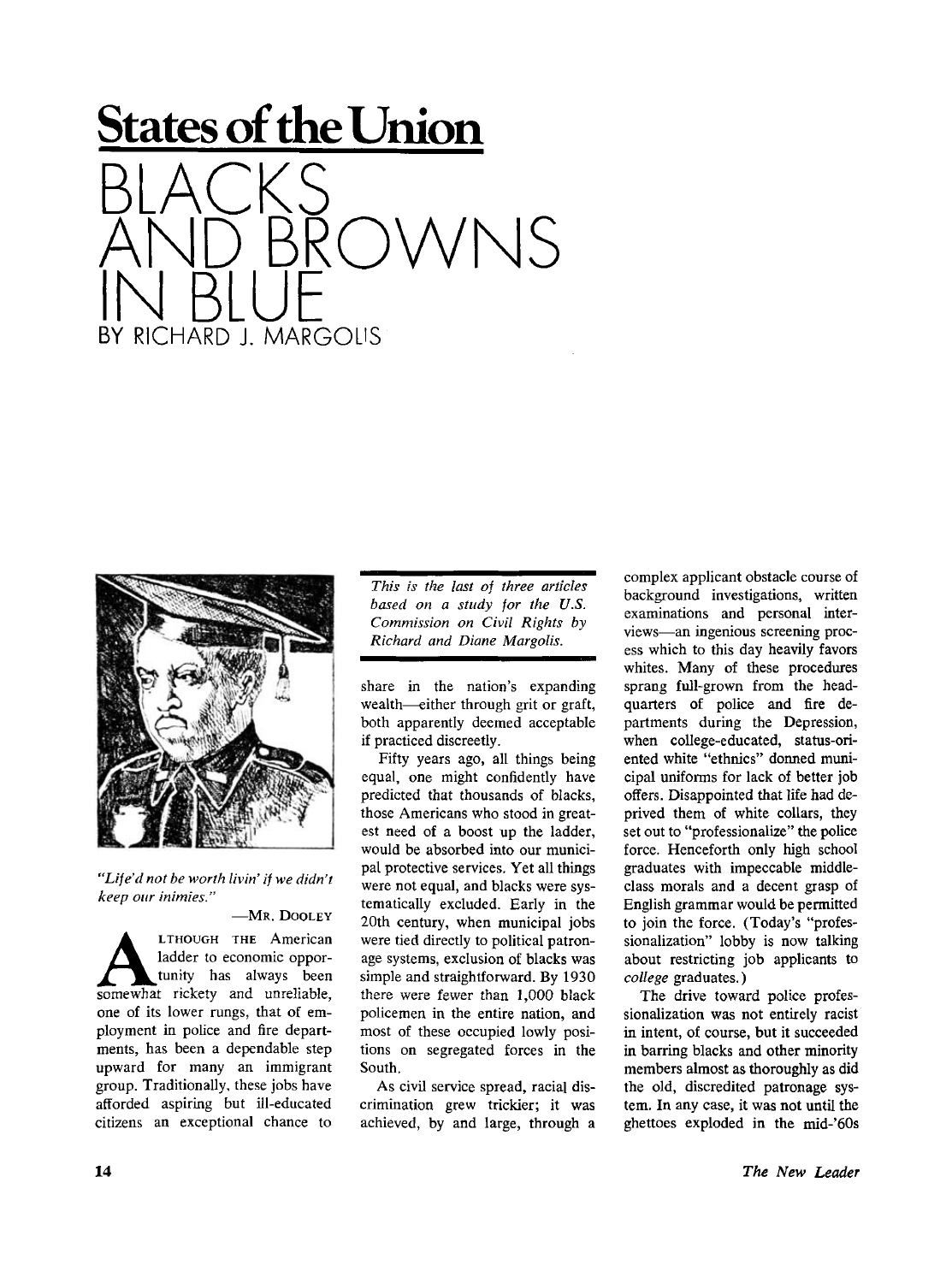



*"Life'd not be worth livin' if we didn't keep our inimies."* 

**—MR . DOOLE Y A**<br>
LIHOUGH THE American<br>
ladder to economic oppor-<br>
somewhat rickety and unreliable, **LTHOUGH THE American** ladder to economic opportunity has always been one of its lower rungs, that of employment in police and fire departments, has been a dependable step upward for many an immigrant group. Traditionally, these jobs have afforded aspiring but ill-educated citizens an exceptional chance to

*This is the last of three articles based on a study for the U.S. Commission on Civil Rights by Richard and Diane Margolis.* 

share in the nation's expanding wealth—either through grit or graft, both apparently deemed acceptable if practiced discreetly.

Fifty years ago, all things being equal, one might confidently have predicted that thousands of blacks, those Americans who stood in greatest need of a boost up the ladder, would be absorbed into our municipal protective services. Yet all things were not equal, and blacks were systematically excluded. Early in the 20th century, when municipal jobs were tied directly to political patronage systems, exclusion of blacks was simple and straightforward. By 1930 there were fewer than 1,000 black policemen in the entire nation, and most of these occupied lowly positions on segregated forces in the South.

As civil service spread, racial discrimination grew trickier; it was achieved, by and large, through a complex applicant obstacle course of background investigations, written examinations and personal interviews—an ingenious screening process which to this day heavily favors whites. Many of these procedures sprang full-grown from the headquarters of police and fire departments during the Depression, when college-educated, status-oriented white "ethnics" donned municipal uniforms for lack of better job offers. Disappointed that life had deprived them of white collars, they set out to "professionalize" the police force. Henceforth only high school graduates with impeccable middleclass morals and a decent grasp of English grammar would be permitted to join the force. (Today's "professionalization" lobby is now talking about restricting job applicants to *college* graduates.)

The drive toward police professionalization was not entirely racist in intent, of course, but it succeeded in barring blacks and other minority members almost as thoroughly as did the old, discredited patronage system. In any case, it was not until the ghettoes exploded in the mid-'60s